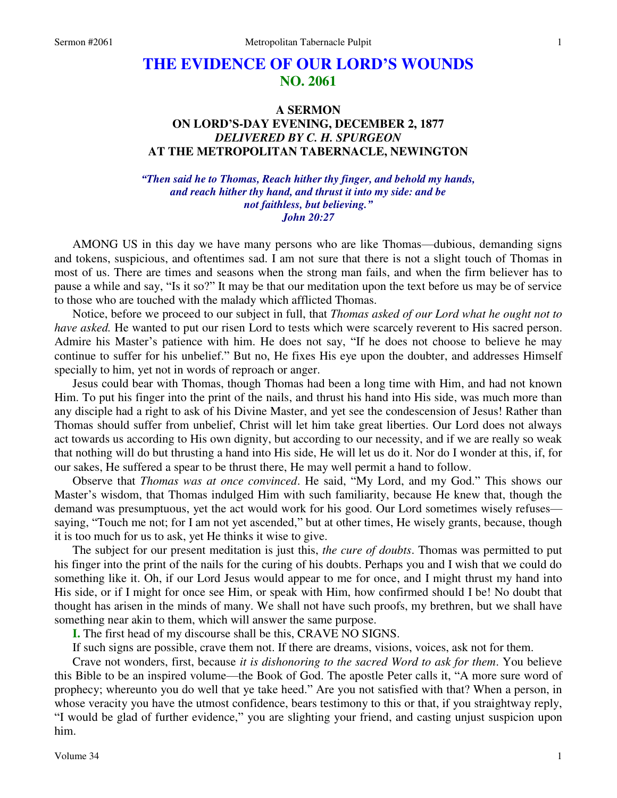## **THE EVIDENCE OF OUR LORD'S WOUNDS NO. 2061**

### **A SERMON ON LORD'S-DAY EVENING, DECEMBER 2, 1877**  *DELIVERED BY C. H. SPURGEON*  **AT THE METROPOLITAN TABERNACLE, NEWINGTON**

#### *"Then said he to Thomas, Reach hither thy finger, and behold my hands, and reach hither thy hand, and thrust it into my side: and be not faithless, but believing." John 20:27*

AMONG US in this day we have many persons who are like Thomas—dubious, demanding signs and tokens, suspicious, and oftentimes sad. I am not sure that there is not a slight touch of Thomas in most of us. There are times and seasons when the strong man fails, and when the firm believer has to pause a while and say, "Is it so?" It may be that our meditation upon the text before us may be of service to those who are touched with the malady which afflicted Thomas.

Notice, before we proceed to our subject in full, that *Thomas asked of our Lord what he ought not to have asked.* He wanted to put our risen Lord to tests which were scarcely reverent to His sacred person. Admire his Master's patience with him. He does not say, "If he does not choose to believe he may continue to suffer for his unbelief." But no, He fixes His eye upon the doubter, and addresses Himself specially to him, yet not in words of reproach or anger.

Jesus could bear with Thomas, though Thomas had been a long time with Him, and had not known Him. To put his finger into the print of the nails, and thrust his hand into His side, was much more than any disciple had a right to ask of his Divine Master, and yet see the condescension of Jesus! Rather than Thomas should suffer from unbelief, Christ will let him take great liberties. Our Lord does not always act towards us according to His own dignity, but according to our necessity, and if we are really so weak that nothing will do but thrusting a hand into His side, He will let us do it. Nor do I wonder at this, if, for our sakes, He suffered a spear to be thrust there, He may well permit a hand to follow.

Observe that *Thomas was at once convinced*. He said, "My Lord, and my God." This shows our Master's wisdom, that Thomas indulged Him with such familiarity, because He knew that, though the demand was presumptuous, yet the act would work for his good. Our Lord sometimes wisely refuses saying, "Touch me not; for I am not yet ascended," but at other times, He wisely grants, because, though it is too much for us to ask, yet He thinks it wise to give.

The subject for our present meditation is just this, *the cure of doubts*. Thomas was permitted to put his finger into the print of the nails for the curing of his doubts. Perhaps you and I wish that we could do something like it. Oh, if our Lord Jesus would appear to me for once, and I might thrust my hand into His side, or if I might for once see Him, or speak with Him, how confirmed should I be! No doubt that thought has arisen in the minds of many. We shall not have such proofs, my brethren, but we shall have something near akin to them, which will answer the same purpose.

**I.** The first head of my discourse shall be this, CRAVE NO SIGNS.

If such signs are possible, crave them not. If there are dreams, visions, voices, ask not for them.

Crave not wonders, first, because *it is dishonoring to the sacred Word to ask for them*. You believe this Bible to be an inspired volume—the Book of God. The apostle Peter calls it, "A more sure word of prophecy; whereunto you do well that ye take heed." Are you not satisfied with that? When a person, in whose veracity you have the utmost confidence, bears testimony to this or that, if you straightway reply, "I would be glad of further evidence," you are slighting your friend, and casting unjust suspicion upon him.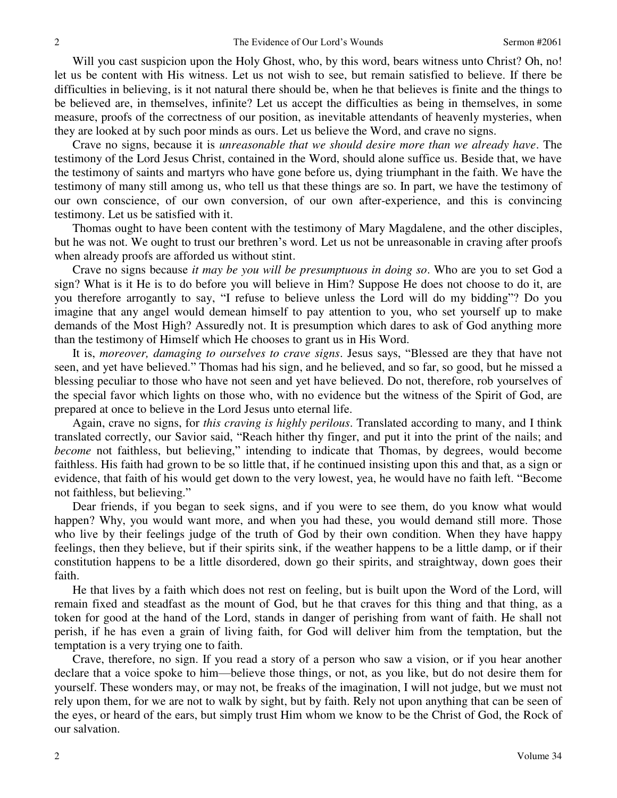Will you cast suspicion upon the Holy Ghost, who, by this word, bears witness unto Christ? Oh, no! let us be content with His witness. Let us not wish to see, but remain satisfied to believe. If there be difficulties in believing, is it not natural there should be, when he that believes is finite and the things to be believed are, in themselves, infinite? Let us accept the difficulties as being in themselves, in some measure, proofs of the correctness of our position, as inevitable attendants of heavenly mysteries, when they are looked at by such poor minds as ours. Let us believe the Word, and crave no signs.

Crave no signs, because it is *unreasonable that we should desire more than we already have*. The testimony of the Lord Jesus Christ, contained in the Word, should alone suffice us. Beside that, we have the testimony of saints and martyrs who have gone before us, dying triumphant in the faith. We have the testimony of many still among us, who tell us that these things are so. In part, we have the testimony of our own conscience, of our own conversion, of our own after-experience, and this is convincing testimony. Let us be satisfied with it.

Thomas ought to have been content with the testimony of Mary Magdalene, and the other disciples, but he was not. We ought to trust our brethren's word. Let us not be unreasonable in craving after proofs when already proofs are afforded us without stint.

Crave no signs because *it may be you will be presumptuous in doing so*. Who are you to set God a sign? What is it He is to do before you will believe in Him? Suppose He does not choose to do it, are you therefore arrogantly to say, "I refuse to believe unless the Lord will do my bidding"? Do you imagine that any angel would demean himself to pay attention to you, who set yourself up to make demands of the Most High? Assuredly not. It is presumption which dares to ask of God anything more than the testimony of Himself which He chooses to grant us in His Word.

It is, *moreover, damaging to ourselves to crave signs*. Jesus says, "Blessed are they that have not seen, and yet have believed." Thomas had his sign, and he believed, and so far, so good, but he missed a blessing peculiar to those who have not seen and yet have believed. Do not, therefore, rob yourselves of the special favor which lights on those who, with no evidence but the witness of the Spirit of God, are prepared at once to believe in the Lord Jesus unto eternal life.

Again, crave no signs, for *this craving is highly perilous*. Translated according to many, and I think translated correctly, our Savior said, "Reach hither thy finger, and put it into the print of the nails; and *become* not faithless, but believing," intending to indicate that Thomas, by degrees, would become faithless. His faith had grown to be so little that, if he continued insisting upon this and that, as a sign or evidence, that faith of his would get down to the very lowest, yea, he would have no faith left. "Become not faithless, but believing."

Dear friends, if you began to seek signs, and if you were to see them, do you know what would happen? Why, you would want more, and when you had these, you would demand still more. Those who live by their feelings judge of the truth of God by their own condition. When they have happy feelings, then they believe, but if their spirits sink, if the weather happens to be a little damp, or if their constitution happens to be a little disordered, down go their spirits, and straightway, down goes their faith.

He that lives by a faith which does not rest on feeling, but is built upon the Word of the Lord, will remain fixed and steadfast as the mount of God, but he that craves for this thing and that thing, as a token for good at the hand of the Lord, stands in danger of perishing from want of faith. He shall not perish, if he has even a grain of living faith, for God will deliver him from the temptation, but the temptation is a very trying one to faith.

Crave, therefore, no sign. If you read a story of a person who saw a vision, or if you hear another declare that a voice spoke to him—believe those things, or not, as you like, but do not desire them for yourself. These wonders may, or may not, be freaks of the imagination, I will not judge, but we must not rely upon them, for we are not to walk by sight, but by faith. Rely not upon anything that can be seen of the eyes, or heard of the ears, but simply trust Him whom we know to be the Christ of God, the Rock of our salvation.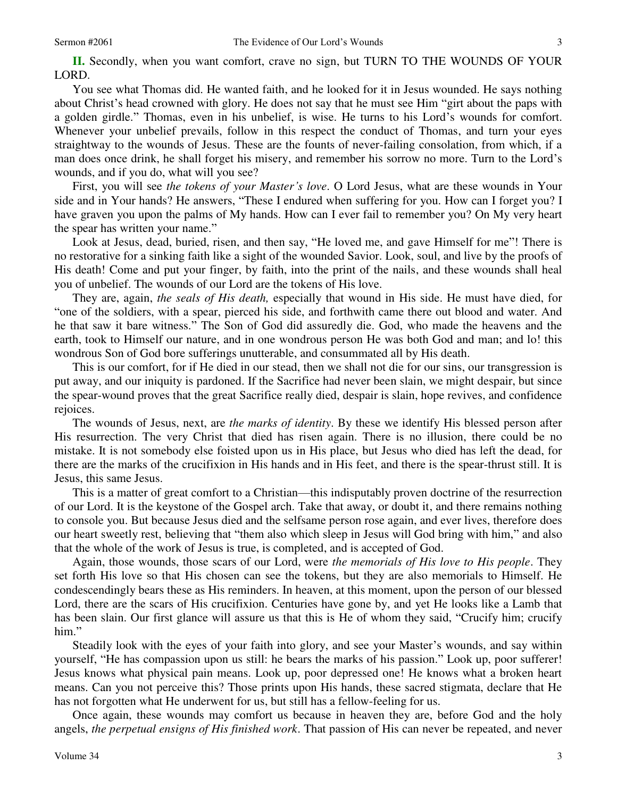**II.** Secondly, when you want comfort, crave no sign, but TURN TO THE WOUNDS OF YOUR LORD.

You see what Thomas did. He wanted faith, and he looked for it in Jesus wounded. He says nothing about Christ's head crowned with glory. He does not say that he must see Him "girt about the paps with a golden girdle." Thomas, even in his unbelief, is wise. He turns to his Lord's wounds for comfort. Whenever your unbelief prevails, follow in this respect the conduct of Thomas, and turn your eyes straightway to the wounds of Jesus. These are the founts of never-failing consolation, from which, if a man does once drink, he shall forget his misery, and remember his sorrow no more. Turn to the Lord's wounds, and if you do, what will you see?

First, you will see *the tokens of your Master's love*. O Lord Jesus, what are these wounds in Your side and in Your hands? He answers, "These I endured when suffering for you. How can I forget you? I have graven you upon the palms of My hands. How can I ever fail to remember you? On My very heart the spear has written your name."

Look at Jesus, dead, buried, risen, and then say, "He loved me, and gave Himself for me"! There is no restorative for a sinking faith like a sight of the wounded Savior. Look, soul, and live by the proofs of His death! Come and put your finger, by faith, into the print of the nails, and these wounds shall heal you of unbelief. The wounds of our Lord are the tokens of His love.

They are, again, *the seals of His death,* especially that wound in His side. He must have died, for "one of the soldiers, with a spear, pierced his side, and forthwith came there out blood and water. And he that saw it bare witness." The Son of God did assuredly die. God, who made the heavens and the earth, took to Himself our nature, and in one wondrous person He was both God and man; and lo! this wondrous Son of God bore sufferings unutterable, and consummated all by His death.

This is our comfort, for if He died in our stead, then we shall not die for our sins, our transgression is put away, and our iniquity is pardoned. If the Sacrifice had never been slain, we might despair, but since the spear-wound proves that the great Sacrifice really died, despair is slain, hope revives, and confidence rejoices.

The wounds of Jesus, next, are *the marks of identity*. By these we identify His blessed person after His resurrection. The very Christ that died has risen again. There is no illusion, there could be no mistake. It is not somebody else foisted upon us in His place, but Jesus who died has left the dead, for there are the marks of the crucifixion in His hands and in His feet, and there is the spear-thrust still. It is Jesus, this same Jesus.

This is a matter of great comfort to a Christian—this indisputably proven doctrine of the resurrection of our Lord. It is the keystone of the Gospel arch. Take that away, or doubt it, and there remains nothing to console you. But because Jesus died and the selfsame person rose again, and ever lives, therefore does our heart sweetly rest, believing that "them also which sleep in Jesus will God bring with him," and also that the whole of the work of Jesus is true, is completed, and is accepted of God.

Again, those wounds, those scars of our Lord, were *the memorials of His love to His people*. They set forth His love so that His chosen can see the tokens, but they are also memorials to Himself. He condescendingly bears these as His reminders. In heaven, at this moment, upon the person of our blessed Lord, there are the scars of His crucifixion. Centuries have gone by, and yet He looks like a Lamb that has been slain. Our first glance will assure us that this is He of whom they said, "Crucify him; crucify him."

Steadily look with the eyes of your faith into glory, and see your Master's wounds, and say within yourself, "He has compassion upon us still: he bears the marks of his passion." Look up, poor sufferer! Jesus knows what physical pain means. Look up, poor depressed one! He knows what a broken heart means. Can you not perceive this? Those prints upon His hands, these sacred stigmata, declare that He has not forgotten what He underwent for us, but still has a fellow-feeling for us.

Once again, these wounds may comfort us because in heaven they are, before God and the holy angels, *the perpetual ensigns of His finished work*. That passion of His can never be repeated, and never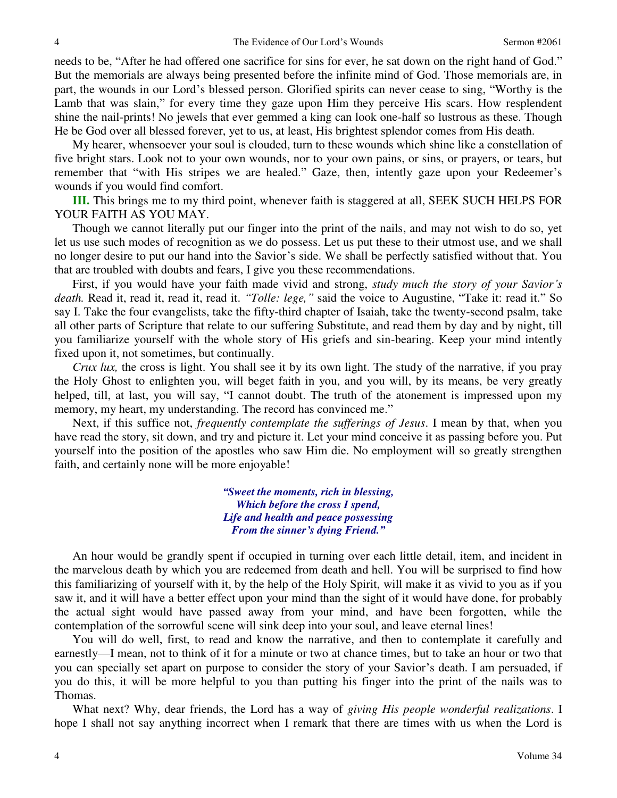needs to be, "After he had offered one sacrifice for sins for ever, he sat down on the right hand of God." But the memorials are always being presented before the infinite mind of God. Those memorials are, in part, the wounds in our Lord's blessed person. Glorified spirits can never cease to sing, "Worthy is the Lamb that was slain," for every time they gaze upon Him they perceive His scars. How resplendent shine the nail-prints! No jewels that ever gemmed a king can look one-half so lustrous as these. Though He be God over all blessed forever, yet to us, at least, His brightest splendor comes from His death.

My hearer, whensoever your soul is clouded, turn to these wounds which shine like a constellation of five bright stars. Look not to your own wounds, nor to your own pains, or sins, or prayers, or tears, but remember that "with His stripes we are healed." Gaze, then, intently gaze upon your Redeemer's wounds if you would find comfort.

**III.** This brings me to my third point, whenever faith is staggered at all, SEEK SUCH HELPS FOR YOUR FAITH AS YOU MAY.

Though we cannot literally put our finger into the print of the nails, and may not wish to do so, yet let us use such modes of recognition as we do possess. Let us put these to their utmost use, and we shall no longer desire to put our hand into the Savior's side. We shall be perfectly satisfied without that. You that are troubled with doubts and fears, I give you these recommendations.

First, if you would have your faith made vivid and strong, *study much the story of your Savior's death.* Read it, read it, read it, read it. *"Tolle: lege,"* said the voice to Augustine, "Take it: read it." So say I. Take the four evangelists, take the fifty-third chapter of Isaiah, take the twenty-second psalm, take all other parts of Scripture that relate to our suffering Substitute, and read them by day and by night, till you familiarize yourself with the whole story of His griefs and sin-bearing. Keep your mind intently fixed upon it, not sometimes, but continually.

*Crux lux,* the cross is light. You shall see it by its own light. The study of the narrative, if you pray the Holy Ghost to enlighten you, will beget faith in you, and you will, by its means, be very greatly helped, till, at last, you will say, "I cannot doubt. The truth of the atonement is impressed upon my memory, my heart, my understanding. The record has convinced me."

Next, if this suffice not, *frequently contemplate the sufferings of Jesus*. I mean by that, when you have read the story, sit down, and try and picture it. Let your mind conceive it as passing before you. Put yourself into the position of the apostles who saw Him die. No employment will so greatly strengthen faith, and certainly none will be more enjoyable!

> *"Sweet the moments, rich in blessing, Which before the cross I spend, Life and health and peace possessing From the sinner's dying Friend."*

An hour would be grandly spent if occupied in turning over each little detail, item, and incident in the marvelous death by which you are redeemed from death and hell. You will be surprised to find how this familiarizing of yourself with it, by the help of the Holy Spirit, will make it as vivid to you as if you saw it, and it will have a better effect upon your mind than the sight of it would have done, for probably the actual sight would have passed away from your mind, and have been forgotten, while the contemplation of the sorrowful scene will sink deep into your soul, and leave eternal lines!

You will do well, first, to read and know the narrative, and then to contemplate it carefully and earnestly—I mean, not to think of it for a minute or two at chance times, but to take an hour or two that you can specially set apart on purpose to consider the story of your Savior's death. I am persuaded, if you do this, it will be more helpful to you than putting his finger into the print of the nails was to Thomas.

What next? Why, dear friends, the Lord has a way of *giving His people wonderful realizations*. I hope I shall not say anything incorrect when I remark that there are times with us when the Lord is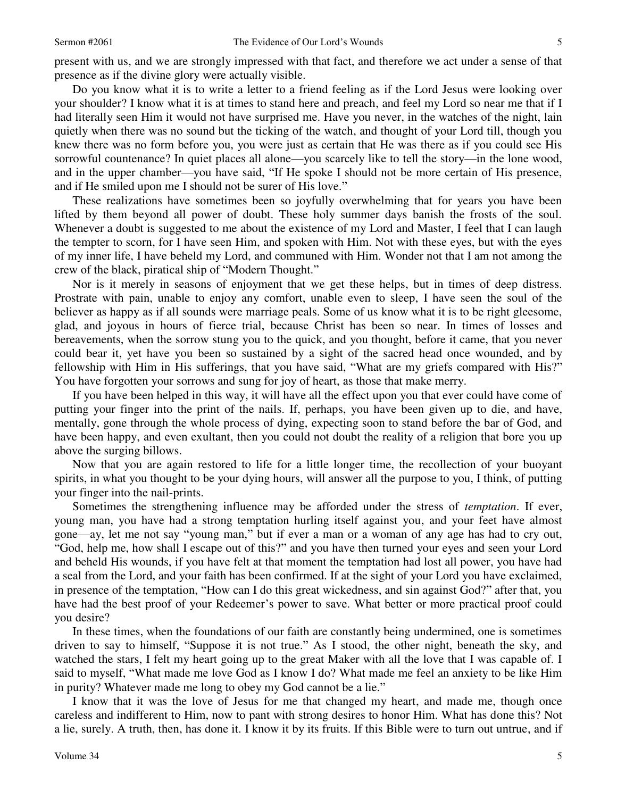present with us, and we are strongly impressed with that fact, and therefore we act under a sense of that presence as if the divine glory were actually visible.

Do you know what it is to write a letter to a friend feeling as if the Lord Jesus were looking over your shoulder? I know what it is at times to stand here and preach, and feel my Lord so near me that if I had literally seen Him it would not have surprised me. Have you never, in the watches of the night, lain quietly when there was no sound but the ticking of the watch, and thought of your Lord till, though you knew there was no form before you, you were just as certain that He was there as if you could see His sorrowful countenance? In quiet places all alone—you scarcely like to tell the story—in the lone wood, and in the upper chamber—you have said, "If He spoke I should not be more certain of His presence, and if He smiled upon me I should not be surer of His love."

These realizations have sometimes been so joyfully overwhelming that for years you have been lifted by them beyond all power of doubt. These holy summer days banish the frosts of the soul. Whenever a doubt is suggested to me about the existence of my Lord and Master, I feel that I can laugh the tempter to scorn, for I have seen Him, and spoken with Him. Not with these eyes, but with the eyes of my inner life, I have beheld my Lord, and communed with Him. Wonder not that I am not among the crew of the black, piratical ship of "Modern Thought."

Nor is it merely in seasons of enjoyment that we get these helps, but in times of deep distress. Prostrate with pain, unable to enjoy any comfort, unable even to sleep, I have seen the soul of the believer as happy as if all sounds were marriage peals. Some of us know what it is to be right gleesome, glad, and joyous in hours of fierce trial, because Christ has been so near. In times of losses and bereavements, when the sorrow stung you to the quick, and you thought, before it came, that you never could bear it, yet have you been so sustained by a sight of the sacred head once wounded, and by fellowship with Him in His sufferings, that you have said, "What are my griefs compared with His?" You have forgotten your sorrows and sung for joy of heart, as those that make merry.

If you have been helped in this way, it will have all the effect upon you that ever could have come of putting your finger into the print of the nails. If, perhaps, you have been given up to die, and have, mentally, gone through the whole process of dying, expecting soon to stand before the bar of God, and have been happy, and even exultant, then you could not doubt the reality of a religion that bore you up above the surging billows.

Now that you are again restored to life for a little longer time, the recollection of your buoyant spirits, in what you thought to be your dying hours, will answer all the purpose to you, I think, of putting your finger into the nail-prints.

Sometimes the strengthening influence may be afforded under the stress of *temptation*. If ever, young man, you have had a strong temptation hurling itself against you, and your feet have almost gone—ay, let me not say "young man," but if ever a man or a woman of any age has had to cry out, "God, help me, how shall I escape out of this?" and you have then turned your eyes and seen your Lord and beheld His wounds, if you have felt at that moment the temptation had lost all power, you have had a seal from the Lord, and your faith has been confirmed. If at the sight of your Lord you have exclaimed, in presence of the temptation, "How can I do this great wickedness, and sin against God?" after that, you have had the best proof of your Redeemer's power to save. What better or more practical proof could you desire?

In these times, when the foundations of our faith are constantly being undermined, one is sometimes driven to say to himself, "Suppose it is not true." As I stood, the other night, beneath the sky, and watched the stars, I felt my heart going up to the great Maker with all the love that I was capable of. I said to myself, "What made me love God as I know I do? What made me feel an anxiety to be like Him in purity? Whatever made me long to obey my God cannot be a lie."

I know that it was the love of Jesus for me that changed my heart, and made me, though once careless and indifferent to Him, now to pant with strong desires to honor Him. What has done this? Not a lie, surely. A truth, then, has done it. I know it by its fruits. If this Bible were to turn out untrue, and if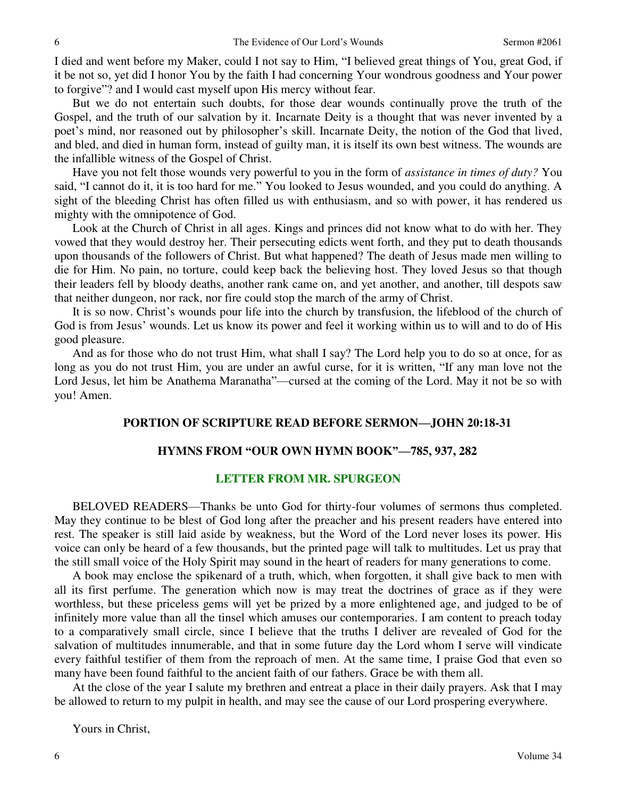I died and went before my Maker, could I not say to Him, "I believed great things of You, great God, if it be not so, yet did I honor You by the faith I had concerning Your wondrous goodness and Your power to forgive"? and I would cast myself upon His mercy without fear.

But we do not entertain such doubts, for those dear wounds continually prove the truth of the Gospel, and the truth of our salvation by it. Incarnate Deity is a thought that was never invented by a poet's mind, nor reasoned out by philosopher's skill. Incarnate Deity, the notion of the God that lived, and bled, and died in human form, instead of guilty man, it is itself its own best witness. The wounds are the infallible witness of the Gospel of Christ.

Have you not felt those wounds very powerful to you in the form of *assistance in times of duty?* You said, "I cannot do it, it is too hard for me." You looked to Jesus wounded, and you could do anything. A sight of the bleeding Christ has often filled us with enthusiasm, and so with power, it has rendered us mighty with the omnipotence of God.

Look at the Church of Christ in all ages. Kings and princes did not know what to do with her. They vowed that they would destroy her. Their persecuting edicts went forth, and they put to death thousands upon thousands of the followers of Christ. But what happened? The death of Jesus made men willing to die for Him. No pain, no torture, could keep back the believing host. They loved Jesus so that though their leaders fell by bloody deaths, another rank came on, and yet another, and another, till despots saw that neither dungeon, nor rack, nor fire could stop the march of the army of Christ.

It is so now. Christ's wounds pour life into the church by transfusion, the lifeblood of the church of God is from Jesus' wounds. Let us know its power and feel it working within us to will and to do of His good pleasure.

And as for those who do not trust Him, what shall I say? The Lord help you to do so at once, for as long as you do not trust Him, you are under an awful curse, for it is written, "If any man love not the Lord Jesus, let him be Anathema Maranatha"—cursed at the coming of the Lord. May it not be so with you! Amen.

#### **PORTION OF SCRIPTURE READ BEFORE SERMON—JOHN 20:18-31**

#### **HYMNS FROM "OUR OWN HYMN BOOK"—785, 937, 282**

#### **LETTER FROM MR. SPURGEON**

BELOVED READERS—Thanks be unto God for thirty-four volumes of sermons thus completed. May they continue to be blest of God long after the preacher and his present readers have entered into rest. The speaker is still laid aside by weakness, but the Word of the Lord never loses its power. His voice can only be heard of a few thousands, but the printed page will talk to multitudes. Let us pray that the still small voice of the Holy Spirit may sound in the heart of readers for many generations to come.

A book may enclose the spikenard of a truth, which, when forgotten, it shall give back to men with all its first perfume. The generation which now is may treat the doctrines of grace as if they were worthless, but these priceless gems will yet be prized by a more enlightened age, and judged to be of infinitely more value than all the tinsel which amuses our contemporaries. I am content to preach today to a comparatively small circle, since I believe that the truths I deliver are revealed of God for the salvation of multitudes innumerable, and that in some future day the Lord whom I serve will vindicate every faithful testifier of them from the reproach of men. At the same time, I praise God that even so many have been found faithful to the ancient faith of our fathers. Grace be with them all.

At the close of the year I salute my brethren and entreat a place in their daily prayers. Ask that I may be allowed to return to my pulpit in health, and may see the cause of our Lord prospering everywhere.

Yours in Christ,